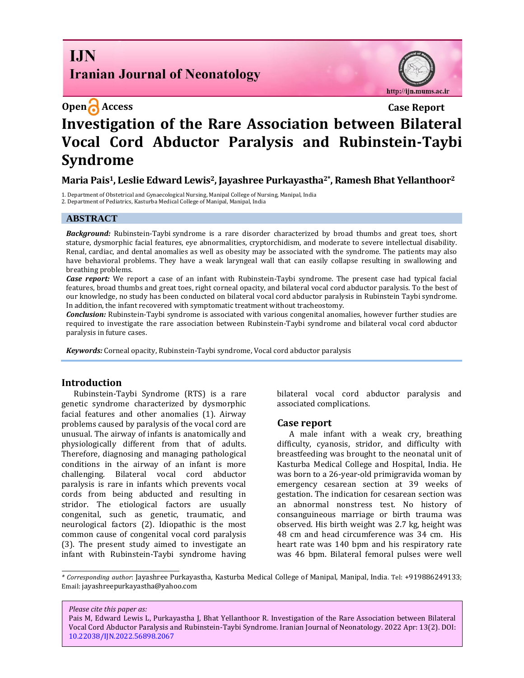## **I.IN Iranian Journal of Neonatology**

http://ijn.mums.ac.ir

# **Open Access Case Report Investigation of the Rare Association between Bilateral Vocal Cord Abductor Paralysis and Rubinstein-Taybi Syndrome**

## **Maria Pais1, Leslie Edward Lewis2, Jayashree Purkayastha2\* , Ramesh Bhat Yellanthoor<sup>2</sup>**

1. Department of Obstetrical and Gynaecological Nursing, Manipal College of Nursing, Manipal, India

2. Department of Pediatrics, Kasturba Medical College of Manipal, Manipal, India

#### **ABSTRACT**

*Background:* Rubinstein-Taybi syndrome is a rare disorder characterized by broad thumbs and great toes, short stature, dysmorphic facial features, eye abnormalities, cryptorchidism, and moderate to severe intellectual disability. Renal, cardiac, and dental anomalies as well as obesity may be associated with the syndrome. The patients may also have behavioral problems. They have a weak laryngeal wall that can easily collapse resulting in swallowing and breathing problems.

*Case report:* We report a case of an infant with Rubinstein-Taybi syndrome. The present case had typical facial features, broad thumbs and great toes, right corneal opacity, and bilateral vocal cord abductor paralysis. To the best of our knowledge, no study has been conducted on bilateral vocal cord abductor paralysis in Rubinstein Taybi syndrome. In addition, the infant recovered with symptomatic treatment without tracheostomy.

*Conclusion:* Rubinstein-Taybi syndrome is associated with various congenital anomalies, however further studies are required to investigate the rare association between Rubinstein-Taybi syndrome and bilateral vocal cord abductor paralysis in future cases.

*Keywords:* Corneal opacity, Rubinstein-Taybi syndrome, Vocal cord abductor paralysis

#### **Introduction**

Rubinstein-Taybi Syndrome (RTS) is a rare genetic syndrome characterized by dysmorphic facial features and other anomalies (1). Airway problems caused by paralysis of the vocal cord are unusual. The airway of infants is anatomically and physiologically different from that of adults. Therefore, diagnosing and managing pathological conditions in the airway of an infant is more challenging. Bilateral vocal cord abductor paralysis is rare in infants which prevents vocal cords from being abducted and resulting in stridor. The etiological factors are usually congenital, such as genetic, traumatic, and neurological factors (2). Idiopathic is the most common cause of congenital vocal cord paralysis (3). The present study aimed to investigate an infant with Rubinstein-Taybi syndrome having

bilateral vocal cord abductor paralysis and associated complications.

### **Case report**

A male infant with a weak cry, breathing difficulty, cyanosis, stridor, and difficulty with breastfeeding was brought to the neonatal unit of Kasturba Medical College and Hospital, India. He was born to a 26-year-old primigravida woman by emergency cesarean section at 39 weeks of gestation. The indication for cesarean section was an abnormal nonstress test. No history of consanguineous marriage or birth trauma was observed. His birth weight was 2.7 kg, height was 48 cm and head circumference was 34 cm. His heart rate was 140 bpm and his respiratory rate was 46 bpm. Bilateral femoral pulses were well

*Please cite this paper as:*

Pais M, Edward Lewis L, Purkayastha J, Bhat Yellanthoor R. Investigation of the Rare Association between Bilateral Vocal Cord Abductor Paralysis and Rubinstein-Taybi Syndrome. Iranian Journal of Neonatology. 2022 Apr: 13(2). DOI: [10.22038/IJN.2022.56898.2067](https://ijn.mums.ac.ir/)

*<sup>\*</sup> Corresponding author*: Jayashree Purkayastha, Kasturba Medical College of Manipal, Manipal, India. Tel: +919886249133; Email: [jayashreepurkayastha@yahoo.com](mailto:jayashreepurkayastha@yahoo.com)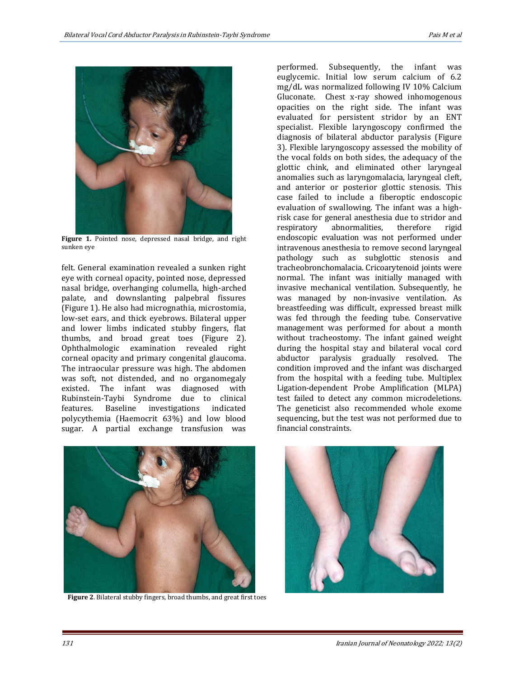

**Figure 1.** Pointed nose, depressed nasal bridge, and right sunken eye

felt. General examination revealed a sunken right eye with corneal opacity, pointed nose, depressed nasal bridge, overhanging columella, high-arched palate, and downslanting palpebral fissures (Figure 1). He also had micrognathia, microstomia, low-set ears, and thick eyebrows. Bilateral upper and lower limbs indicated stubby fingers, flat thumbs, and broad great toes (Figure 2). Ophthalmologic examination revealed right corneal opacity and primary congenital glaucoma. The intraocular pressure was high. The abdomen was soft, not distended, and no organomegaly existed. The infant was diagnosed with Rubinstein-Taybi Syndrome due to clinical features. Baseline investigations indicated polycythemia (Haemocrit 63%) and low blood sugar. A partial exchange transfusion was

performed. Subsequently, the infant was euglycemic. Initial low serum calcium of 6.2 mg/dL was normalized following IV 10% Calcium Gluconate. Chest x-ray showed inhomogenous opacities on the right side. The infant was evaluated for persistent stridor by an ENT specialist. Flexible laryngoscopy confirmed the diagnosis of bilateral abductor paralysis (Figure 3). Flexible laryngoscopy assessed the mobility of the vocal folds on both sides, the adequacy of the glottic chink, and eliminated other laryngeal anomalies such as laryngomalacia, laryngeal cleft, and anterior or posterior glottic stenosis. This case failed to include a fiberoptic endoscopic evaluation of swallowing. The infant was a highrisk case for general anesthesia due to stridor and respiratory abnormalities, therefore rigid endoscopic evaluation was not performed under intravenous anesthesia to remove second laryngeal pathology such as subglottic stenosis and tracheobronchomalacia. Cricoarytenoid joints were normal. The infant was initially managed with invasive mechanical ventilation. Subsequently, he was managed by non-invasive ventilation. As breastfeeding was difficult, expressed breast milk was fed through the feeding tube. Conservative management was performed for about a month without tracheostomy. The infant gained weight during the hospital stay and bilateral vocal cord abductor paralysis gradually resolved. The condition improved and the infant was discharged from the hospital with a feeding tube. Multiplex Ligation-dependent Probe Amplification (MLPA) test failed to detect any common microdeletions. The geneticist also recommended whole exome sequencing, but the test was not performed due to financial constraints.



 **Figure 2**. Bilateral stubby fingers, broad thumbs, and great first toes

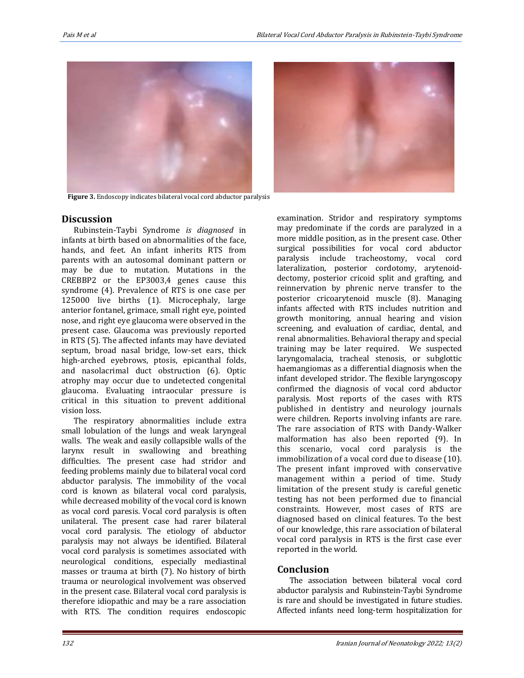

 **Figure 3.** Endoscopy indicates bilateral vocal cord abductor paralysis

## **Discussion**

Rubinstein-Taybi Syndrome *is diagnosed* in infants at birth based on abnormalities of the face, hands, and feet. An infant inherits RTS from parents with an autosomal dominant pattern or may be due to mutation. Mutations in the CREBBP2 or the EP3003,4 genes cause this syndrome (4). Prevalence of RTS is one case per 125000 live births (1). Microcephaly, large anterior fontanel, grimace, small right eye, pointed nose, and right eye glaucoma were observed in the present case. Glaucoma was previously reported in RTS (5). The affected infants may have deviated septum, broad nasal bridge, low-set ears, thick high-arched eyebrows, ptosis, epicanthal folds, and nasolacrimal duct obstruction (6). Optic atrophy may occur due to undetected congenital glaucoma. Evaluating intraocular pressure is critical in this situation to prevent additional vision loss.

The respiratory abnormalities include extra small lobulation of the lungs and weak laryngeal walls. The weak and easily collapsible walls of the larynx result in swallowing and breathing difficulties. The present case had stridor and feeding problems mainly due to bilateral vocal cord abductor paralysis. The immobility of the vocal cord is known as bilateral vocal cord paralysis, while decreased mobility of the vocal cord is known as vocal cord paresis. Vocal cord paralysis is often unilateral. The present case had rarer bilateral vocal cord paralysis. The etiology of abductor paralysis may not always be identified. Bilateral vocal cord paralysis is sometimes associated with neurological conditions, especially mediastinal masses or trauma at birth (7). No history of birth trauma or neurological involvement was observed in the present case. Bilateral vocal cord paralysis is therefore idiopathic and may be a rare association with RTS. The condition requires endoscopic



## **Conclusion**

The association between bilateral vocal cord abductor paralysis and Rubinstein-Taybi Syndrome is rare and should be investigated in future studies. Affected infants need long-term hospitalization for